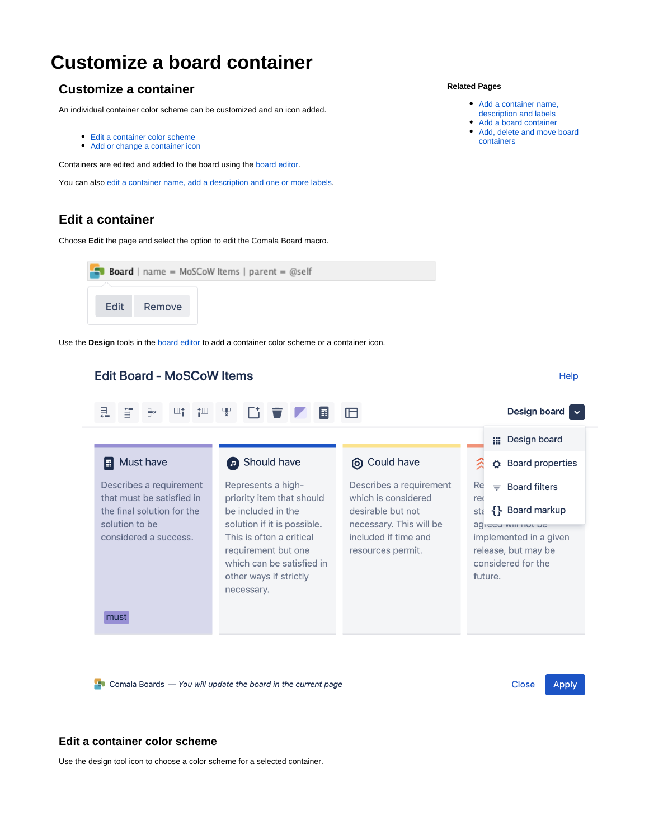# **Customize a board container**

# **Customize a container**

An individual container color scheme can be customized and an icon added.

- [Edit a container color scheme](#page-0-0)
- [Add or change a container icon](#page-1-0)

Containers are edited and added to the board using the [board editor.](https://wiki.comalatech.com/display/CBCSL/Working+with+the++Board+Editor)

You can also [edit a container name, add a description and one or more labels](https://wiki.comalatech.com/display/CBCSL/Add+a+container+name%2C+description+and+one+or+more+labels).

## **Edit a container**

Choose **Edit** the page and select the option to edit the Comala Board macro.



Use the **Design** tools in the [board editor](https://wiki.comalatech.com/display/CBCSL/Working+with+the++Board+Editor) to add a container color scheme or a container icon.

#### **Edit Board - MoSCoW Items** Help 山台 Design board v 且 与 仙 냋 圖 旧 ::: Design board Must have **a** Should have © Could have 公 **O** Board properties Describes a requirement Represents a high-Describes a requirement Re  $\equiv$  Board filters that must be satisfied in priority item that should which is considered reo sta {} Board markup desirable but not the final solution for the be included in the solution to be solution if it is possible. necessary. This will be agieeu wiii nuu ne considered a success. This is often a critical included if time and implemented in a given requirement but one resources permit. release, but may be which can be satisfied in considered for the other ways if strictly future. necessary. must

 $\Box$  Comala Boards  $-$  You will update the board in the current page

**Close Apply** 

#### <span id="page-0-0"></span>**Edit a container color scheme**

Use the design tool icon to choose a color scheme for a selected container.

#### **Related Pages**

- [Add a container name,](https://wiki.comalatech.com/display/CBCSL/Add+a+container+name%2C+description+and+one+or+more+labels)
- [description and labels](https://wiki.comalatech.com/display/CBCSL/Add+a+container+name%2C+description+and+one+or+more+labels)
- [Add a board container](https://wiki.comalatech.com/display/CBCSL/Add+a+container)
- [Add, delete and move board](https://wiki.comalatech.com/display/CBCSL/Add%2C+delete%2C+and+move+board+containers)  [containers](https://wiki.comalatech.com/display/CBCSL/Add%2C+delete%2C+and+move+board+containers)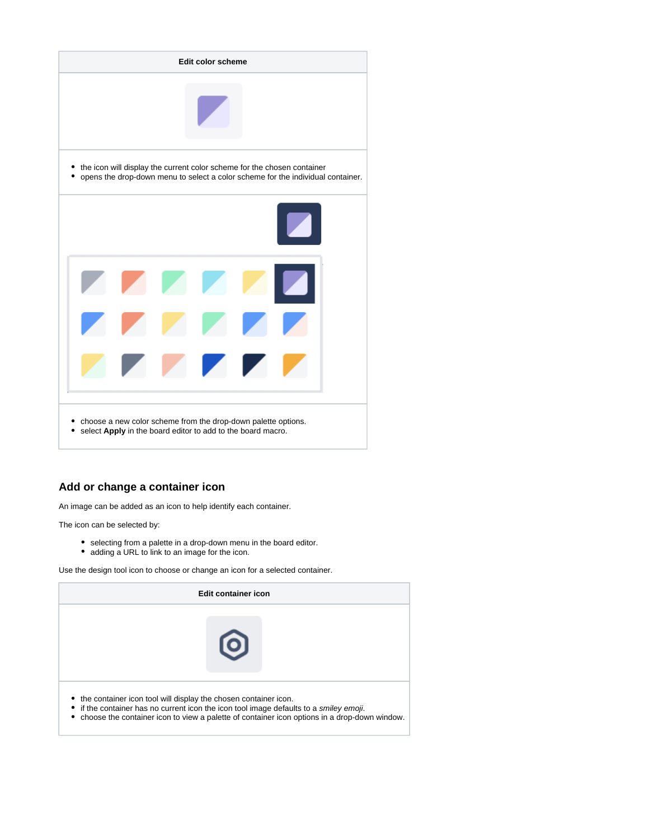

#### <span id="page-1-0"></span>**Add or change a container icon**

An image can be added as an icon to help identify each container.

The icon can be selected by:

- selecting from a palette in a drop-down menu in the board editor.
- adding a URL to link to an image for the icon.

Use the design tool icon to choose or change an icon for a selected container.

| Edit container icon                                               |                                                                                                                                                                                                  |  |
|-------------------------------------------------------------------|--------------------------------------------------------------------------------------------------------------------------------------------------------------------------------------------------|--|
|                                                                   | $\mathbf{O}$                                                                                                                                                                                     |  |
| • the container icon tool will display the chosen container icon. | • if the container has no current icon the icon tool image defaults to a <i>smiley emoji</i> .<br>• choose the container icon to view a palette of container icon options in a drop-down window. |  |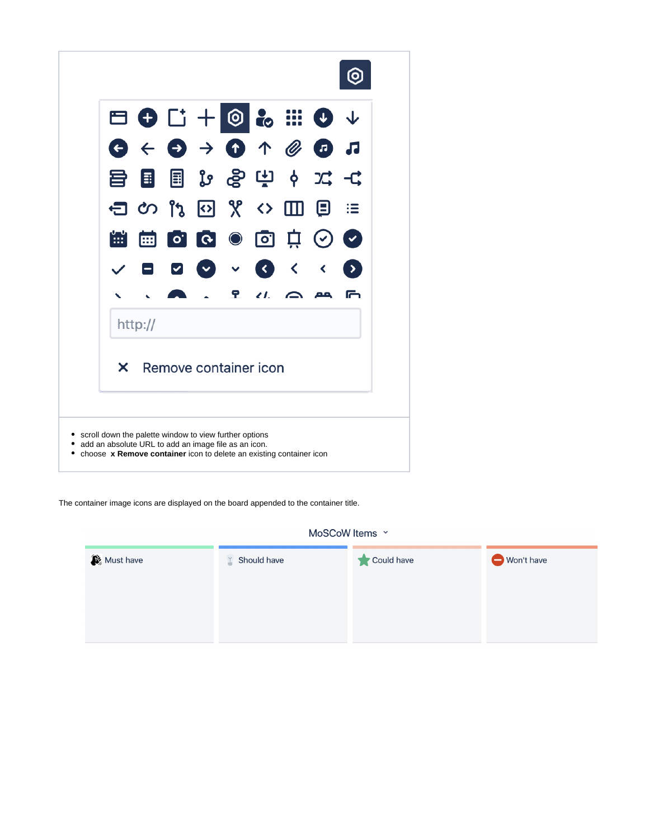

The container image icons are displayed on the board appended to the container title.

MoSCoW Items v

| Must have | $\angle$ Should have | Could have | Won't have |
|-----------|----------------------|------------|------------|
|           |                      |            |            |
|           |                      |            |            |